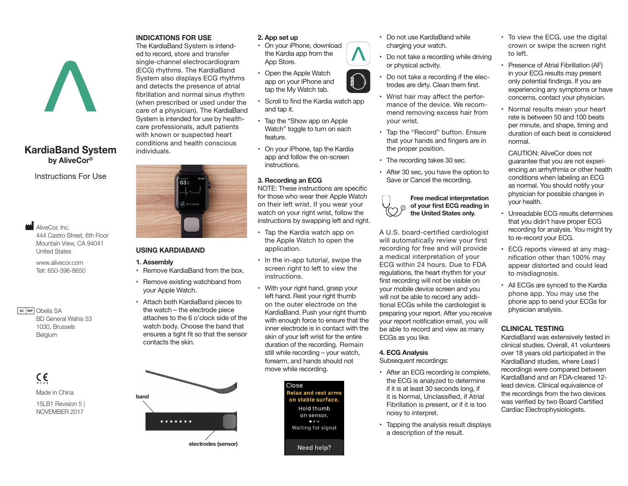# **KardiaBand System by AliveCor®**

Instructions For Use

**AliveCor, Inc.** 444 Castro Street, 6th Floor Mountain View, CA 94041 United States

www.alivecor.com Tell: 650-396-8650

**EC REP** Obelis SA BD General Wahis 53 1030, Brussels Belgium

> $C \in$ Made in China 15LB1 Revision 5 | NOVEMBER 2017

#### **INDICATIONS FOR USE**

The KardiaBand System is intended to record, store and transfer single-channel electrocardiogram (ECG) rhythms. The KardiaBand System also displays ECG rhythms and detects the presence of atrial fibrillation and normal sinus rhythm (when prescribed or used under the care of a physician). The KardiaBand System is intended for use by healthcare professionals, adult patients with known or suspected heart conditions and health conscious individuals.



# **USING KARDIABAND**

#### **1. Assembly**

- Remove KardiaBand from the box.
- Remove existing watchband from your Apple Watch.
- Attach both KardiaBand pieces to the watch – the electrode piece attaches to the 6 o'clock side of the watch body. Choose the band that ensures a tight fit so that the sensor contacts the skin.



# **2. App set up**

- On your iPhone, download the Kardia app from the App Store.
- Open the Apple Watch app on your iPhone and tap the My Watch tab.
- Scroll to find the Kardia watch app and tap it.
- Tap the "Show app on Apple Watch" toggle to turn on each feature.
- On your iPhone, tap the Kardia app and follow the on-screen instructions.

# **3. Recording an ECG**

NOTE: These instructions are specific for those who wear their Apple Watch on their left wrist. If you wear your watch on your right wrist, follow the instructions by swapping left and right.

- Tap the Kardia watch app on the Apple Watch to open the application.
- In the in-app tutorial, swipe the screen right to left to view the instructions.
- With your right hand, grasp your left hand. Rest your right thumb on the outer electrode on the KardiaBand. Push your right thumb with enough force to ensure that the inner electrode is in contact with the skin of your left wrist for the entire duration of the recording. Remain still while recording – your watch, forearm, and hands should not move while recording.



- Do not use KardiaBand while charging your watch.
- Do not take a recording while driving or physical activity.
- Do not take a recording if the electrodes are dirty. Clean them first.
- Wrist hair may affect the performance of the device. We recommend removing excess hair from your wrist.
- Tap the "Record" button. Ensure that your hands and fingers are in the proper position.
- The recording takes 30 sec.
- After 30 sec, you have the option to Save or Cancel the recording.

#### **Free medical interpretation of your first ECG reading in**   $\odot$ **the United States only.**

A U.S. board-certified cardiologist will automatically review your first recording for free and will provide a medical interpretation of your ECG within 24 hours. Due to FDA regulations, the heart rhythm for your first recording will not be visible on your mobile device screen and you will not be able to record any additional ECGs while the cardiologist is preparing your report. After you receive your report notification email, you will be able to record and view as many ECGs as you like.

#### **4. ECG Analysis**

Subsequent recordings:

- After an ECG recording is complete, the ECG is analyzed to determine if it is at least 30 seconds long, if it is Normal, Unclassified, if Atrial Fibrillation is present, or if it is too noisy to interpret.
- Tapping the analysis result displays a description of the result.
- To view the ECG, use the digital crown or swipe the screen right to left.
- Presence of Atrial Fibrillation (AF) in your ECG results may present only potential findings. If you are experiencing any symptoms or have concerns, contact your physician.
- Normal results mean your heart rate is between 50 and 100 beats per minute, and shape, timing and duration of each beat is considered normal.

CAUTION: AliveCor does not guarantee that you are not experiencing an arrhythmia or other health conditions when labeling an ECG as normal. You should notify your physician for possible changes in your health.

- Unreadable ECG results determines that you didn't have proper ECG recording for analysis. You might try to re-record your ECG.
- ECG reports viewed at any magnification other than 100% may appear distorted and could lead to misdiagnosis.
- All ECGs are synced to the Kardia phone app. You may use the phone app to send your ECGs for physician analysis.

# **CLINICAL TESTING**

KardiaBand was extensively tested in clinical studies. Overall, 41 volunteers over 18 years old participated in the KardiaBand studies, where Lead I recordings were compared between KardiaBand and an FDA-cleared 12 lead device. Clinical equivalence of the recordings from the two devices was verified by two Board Certified Cardiac Electrophysiologists.